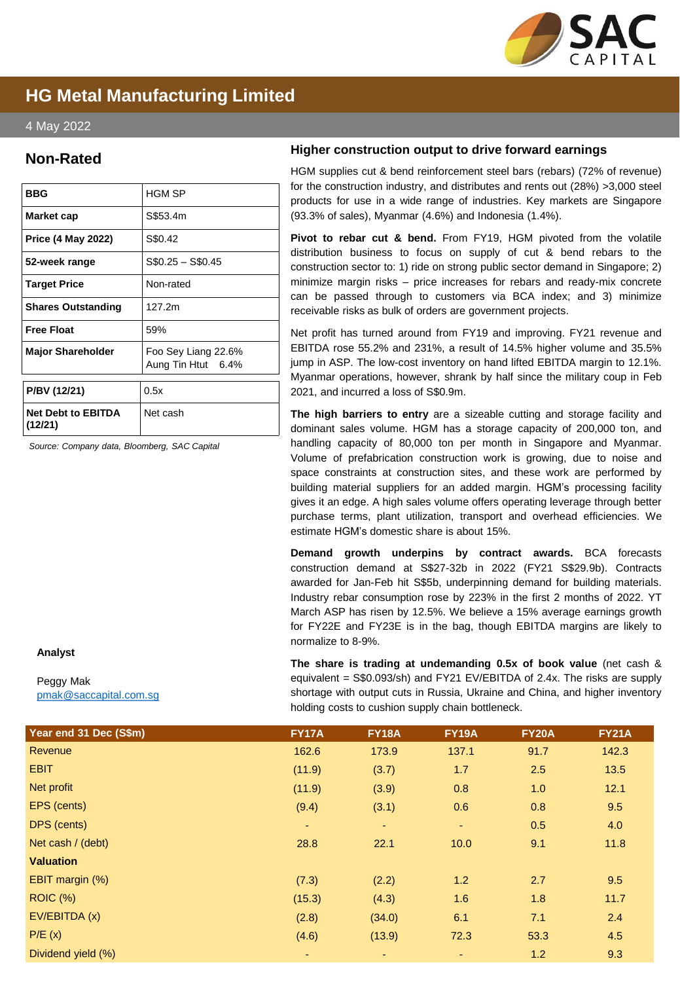

# **HG Metal Manufacturing Limited**

## 4 May 2022

## **Non-Rated**

| <b>BBG</b>                           | <b>HGM SP</b>                             |
|--------------------------------------|-------------------------------------------|
| Market cap                           | S\$53.4m                                  |
| <b>Price (4 May 2022)</b>            | S\$0.42                                   |
| 52-week range                        | $$0.25 - $0.45$                           |
| <b>Target Price</b>                  | Non-rated                                 |
| <b>Shares Outstanding</b>            | 127.2m                                    |
| <b>Free Float</b>                    | 59%                                       |
| <b>Major Shareholder</b>             | Foo Sey Liang 22.6%<br>Aung Tin Htut 6.4% |
| P/BV (12/21)                         | 0.5x                                      |
| <b>Net Debt to EBITDA</b><br>(12/21) | Net cash                                  |

*Source: Company data, Bloomberg, SAC Capital*

#### **Higher construction output to drive forward earnings**

HGM supplies cut & bend reinforcement steel bars (rebars) (72% of revenue) for the construction industry, and distributes and rents out (28%) >3,000 steel products for use in a wide range of industries. Key markets are Singapore (93.3% of sales), Myanmar (4.6%) and Indonesia (1.4%).

**Pivot to rebar cut & bend.** From FY19, HGM pivoted from the volatile distribution business to focus on supply of cut & bend rebars to the construction sector to: 1) ride on strong public sector demand in Singapore; 2) minimize margin risks – price increases for rebars and ready-mix concrete can be passed through to customers via BCA index; and 3) minimize receivable risks as bulk of orders are government projects.

Net profit has turned around from FY19 and improving. FY21 revenue and EBITDA rose 55.2% and 231%, a result of 14.5% higher volume and 35.5% jump in ASP. The low-cost inventory on hand lifted EBITDA margin to 12.1%. Myanmar operations, however, shrank by half since the military coup in Feb 2021, and incurred a loss of S\$0.9m.

**The high barriers to entry** are a sizeable cutting and storage facility and dominant sales volume. HGM has a storage capacity of 200,000 ton, and handling capacity of 80,000 ton per month in Singapore and Myanmar. Volume of prefabrication construction work is growing, due to noise and space constraints at construction sites, and these work are performed by building material suppliers for an added margin. HGM's processing facility gives it an edge. A high sales volume offers operating leverage through better purchase terms, plant utilization, transport and overhead efficiencies. We estimate HGM's domestic share is about 15%.

**Demand growth underpins by contract awards.** BCA forecasts construction demand at S\$27-32b in 2022 (FY21 S\$29.9b). Contracts awarded for Jan-Feb hit S\$5b, underpinning demand for building materials. Industry rebar consumption rose by 223% in the first 2 months of 2022. YT March ASP has risen by 12.5%. We believe a 15% average earnings growth for FY22E and FY23E is in the bag, though EBITDA margins are likely to normalize to 8-9%.

**The share is trading at undemanding 0.5x of book value** (net cash & equivalent = S\$0.093/sh) and FY21 EV/EBITDA of 2.4x. The risks are supply shortage with output cuts in Russia, Ukraine and China, and higher inventory holding costs to cushion supply chain bottleneck.

| Year end 31 Dec (S\$m) | <b>FY17A</b>   | <b>FY18A</b> | <b>FY19A</b> | <b>FY20A</b> | <b>FY21A</b> |
|------------------------|----------------|--------------|--------------|--------------|--------------|
| Revenue                | 162.6          | 173.9        | 137.1        | 91.7         | 142.3        |
| <b>EBIT</b>            | (11.9)         | (3.7)        | 1.7          | 2.5          | 13.5         |
| Net profit             | (11.9)         | (3.9)        | 0.8          | 1.0          | 12.1         |
| EPS (cents)            | (9.4)          | (3.1)        | 0.6          | 0.8          | 9.5          |
| DPS (cents)            | $\blacksquare$ | $\sim$       | $\sim$       | 0.5          | 4.0          |
| Net cash / (debt)      | 28.8           | 22.1         | 10.0         | 9.1          | 11.8         |
| <b>Valuation</b>       |                |              |              |              |              |
| EBIT margin (%)        | (7.3)          | (2.2)        | 1.2          | 2.7          | 9.5          |
| <b>ROIC (%)</b>        | (15.3)         | (4.3)        | 1.6          | 1.8          | 11.7         |
| EV/EBITDA (x)          | (2.8)          | (34.0)       | 6.1          | 7.1          | 2.4          |
| P/E(x)                 | (4.6)          | (13.9)       | 72.3         | 53.3         | 4.5          |
| Dividend yield (%)     |                | ٠            | ٠            | 1.2          | 9.3          |

#### **Analyst**

Peggy Mak [pmak@saccapital.com.sg](mailto:pmak@saccapital.com.sg)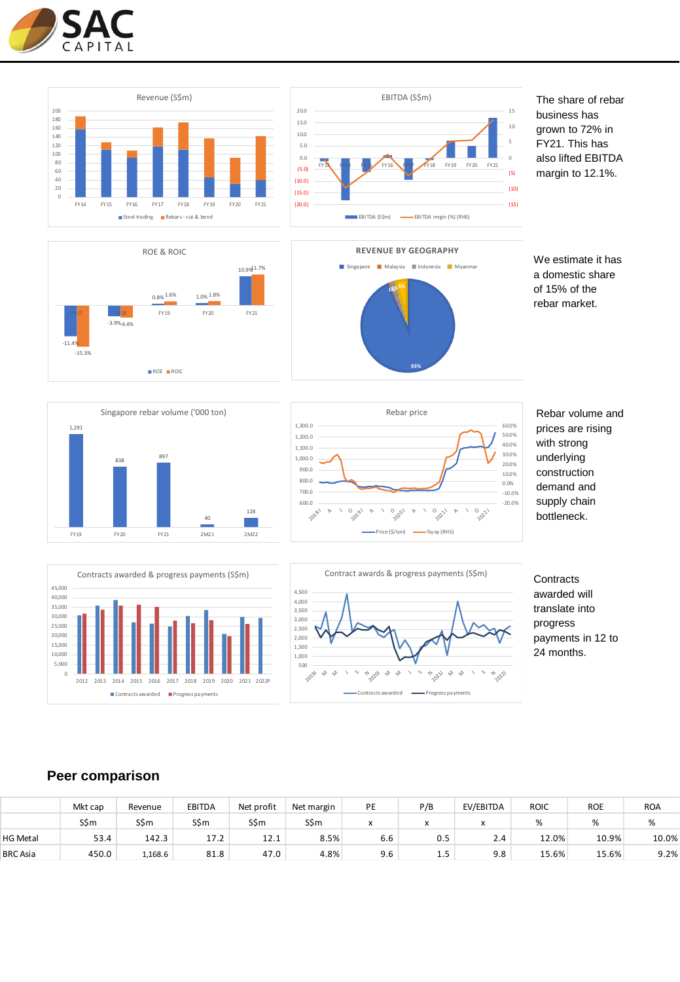

1,291

838







The share of rebar business has grown to 72% in FY21. This has also lifted EBITDA margin to 12.1%.

We estimate it has a domestic share of 15% of the rebar market.

128 600.0 700.0 800.0 900.0 1,000.0 1,100.0 1,200.0 1,300.0 20181 AJ O2019 J AJ  $\sqrt{2}$ ARebar price Price (\$/ton) - We wav (RHS)



1 O 221  $\sim$  J  $\frac{1}{2}22$ 

Rebar volume and prices are rising with strong underlying construction demand and supply chain bottleneck.

-20.0% -10.0% 0.0% 10.0% 20.0% 30.0% 40.0% 50.0% 60.0%

> **Contracts** awarded will translate into progress payments in 12 to 24 months.

### FY19 FY20 FY21 2M21 2M22 5,000 10,000 15,000 20,000 25,000 30,000 35,000 40,000 45,000 Contracts awarded & progress payments (S\$m)

2012 2013 2014 2015 2016 2017 2018 2019 2020 2021 2022P

Contracts awarded **II** Progress payments

897

Singapore rebar volume ('000 ton)

40



## **Peer comparison**

0

|                 | Mkt cap | Revenue | <b>EBITDA</b> | Net profit | Net margin | PE                           | P/B | EV/EBITDA | <b>ROIC</b> | <b>ROE</b> | <b>ROA</b> |
|-----------------|---------|---------|---------------|------------|------------|------------------------------|-----|-----------|-------------|------------|------------|
|                 | S\$m    | S\$m    | S\$m          | S\$m       | S\$m       | $\checkmark$<br>$\mathbf{v}$ |     |           |             | %          | %          |
| <b>HG Metal</b> | 53.4    | 142.3   | 17.2          | 12.1       | 8.5%       | $\sim$ $\sim$<br>6.6         | 0.5 | 2.4       | 12.0%       | 10.9%      | 10.0%      |
| <b>BRC</b> Asia | 450.0   | 1,168.6 | 81.8          | 47.0       | 4.8%       | 9.6                          | ر.⊾ | 9.8       | 15.6%       | 15.6%      | 9.2%       |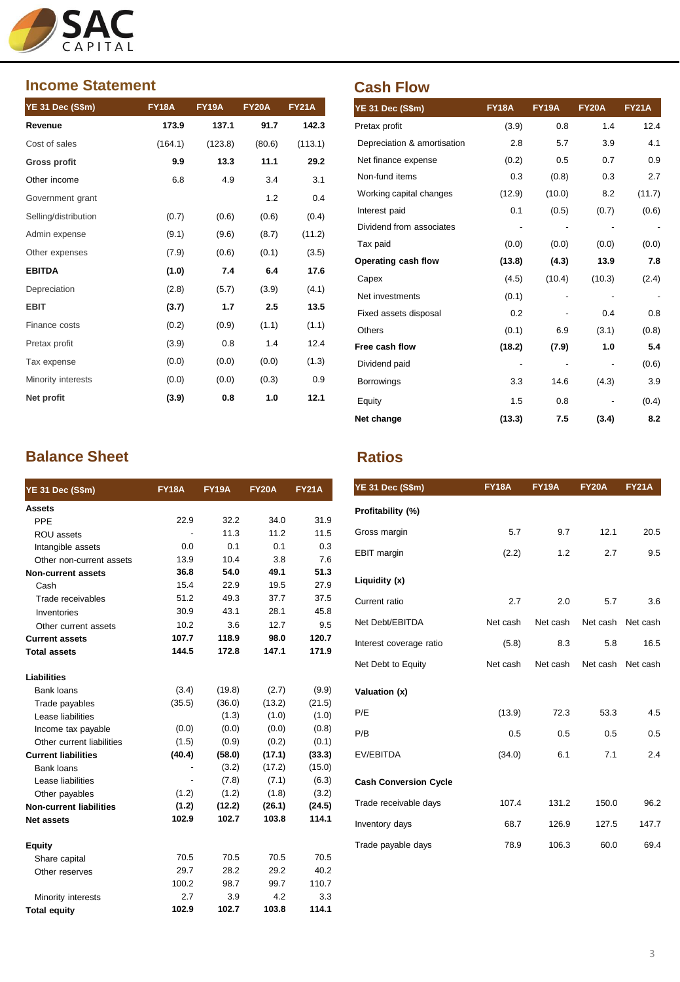

## **Income Statement**

| <b>YE 31 Dec (S\$m)</b> | <b>FY18A</b> | <b>FY19A</b> | <b>FY20A</b> | <b>FY21A</b> |
|-------------------------|--------------|--------------|--------------|--------------|
| Revenue                 | 173.9        | 137.1        | 91.7         | 142.3        |
| Cost of sales           | (164.1)      | (123.8)      | (80.6)       | (113.1)      |
| Gross profit            | 9.9          | 13.3         | 11.1         | 29.2         |
| Other income            | 6.8          | 4.9          | 3.4          | 3.1          |
| Government grant        |              |              | 1.2          | 0.4          |
| Selling/distribution    | (0.7)        | (0.6)        | (0.6)        | (0.4)        |
| Admin expense           | (9.1)        | (9.6)        | (8.7)        | (11.2)       |
| Other expenses          | (7.9)        | (0.6)        | (0.1)        | (3.5)        |
| <b>EBITDA</b>           | (1.0)        | 7.4          | 6.4          | 17.6         |
| Depreciation            | (2.8)        | (5.7)        | (3.9)        | (4.1)        |
| <b>EBIT</b>             | (3.7)        | 1.7          | 2.5          | 13.5         |
| Finance costs           | (0.2)        | (0.9)        | (1.1)        | (1.1)        |
| Pretax profit           | (3.9)        | 0.8          | 1.4          | 12.4         |
| Tax expense             | (0.0)        | (0.0)        | (0.0)        | (1.3)        |
| Minority interests      | (0.0)        | (0.0)        | (0.3)        | 0.9          |
| Net profit              | (3.9)        | 0.8          | 1.0          | 12.1         |

# **Balance Sheet Ratios Ratios**

| <b>YE 31 Dec (S\$m)</b>        | <b>FY18A</b> | <b>FY19A</b> | <b>FY20A</b> | <b>FY21A</b> |
|--------------------------------|--------------|--------------|--------------|--------------|
| Assets                         |              |              |              |              |
| PPF                            | 22.9         | 32.2         | 34.0         | 31.9         |
| ROU assets                     |              | 11.3         | 11.2         | 11.5         |
| Intangible assets              | 0.0          | 0.1          | 0.1          | 0.3          |
| Other non-current assets       | 13.9         | 10.4         | 3.8          | 7.6          |
| <b>Non-current assets</b>      | 36.8         | 54.0         | 49.1         | 51.3         |
| Cash                           | 15.4         | 22.9         | 19.5         | 27.9         |
| Trade receivables              | 51.2         | 49.3         | 37.7         | 37.5         |
| Inventories                    | 30.9         | 43.1         | 28.1         | 45.8         |
| Other current assets           | 10.2         | 3.6          | 12.7         | 9.5          |
| <b>Current assets</b>          | 107.7        | 118.9        | 98.0         | 120.7        |
| <b>Total assets</b>            | 144.5        | 172.8        | 147.1        | 171.9        |
| Liabilities                    |              |              |              |              |
| Bank loans                     | (3.4)        | (19.8)       | (2.7)        | (9.9)        |
| Trade payables                 | (35.5)       | (36.0)       | (13.2)       | (21.5)       |
| Lease liabilities              |              | (1.3)        | (1.0)        | (1.0)        |
| Income tax payable             | (0.0)        | (0.0)        | (0.0)        | (0.8)        |
| Other current liabilities      | (1.5)        | (0.9)        | (0.2)        | (0.1)        |
| <b>Current liabilities</b>     | (40.4)       | (58.0)       | (17.1)       | (33.3)       |
| Bank loans                     |              | (3.2)        | (17.2)       | (15.0)       |
| Lease liabilities              |              | (7.8)        | (7.1)        | (6.3)        |
| Other payables                 | (1.2)        | (1.2)        | (1.8)        | (3.2)        |
| <b>Non-current liabilities</b> | (1.2)        | (12.2)       | (26.1)       | (24.5)       |
| <b>Net assets</b>              | 102.9        | 102.7        | 103.8        | 114.1        |
| Equity                         |              |              |              |              |
| Share capital                  | 70.5         | 70.5         | 70.5         | 70.5         |
| Other reserves                 | 29.7         | 28.2         | 29.2         | 40.2         |
|                                | 100.2        | 98.7         | 99.7         | 110.7        |
| Minority interests             | 2.7          | 3.9          | 42           | 3.3          |
| <b>Total equity</b>            | 102.9        | 102.7        | 103.8        | 114.1        |

# **Cash Flow**

| <b>YE 31 Dec (S\$m)</b>     | <b>FY18A</b> | <b>FY19A</b> | <b>FY20A</b> | <b>FY21A</b> |
|-----------------------------|--------------|--------------|--------------|--------------|
| Pretax profit               | (3.9)        | 0.8          | 1.4          | 12.4         |
| Depreciation & amortisation | 2.8          | 5.7          | 3.9          | 4.1          |
| Net finance expense         | (0.2)        | 0.5          | 0.7          | 0.9          |
| Non-fund items              | 0.3          | (0.8)        | 0.3          | 2.7          |
| Working capital changes     | (12.9)       | (10.0)       | 8.2          | (11.7)       |
| Interest paid               | 0.1          | (0.5)        | (0.7)        | (0.6)        |
| Dividend from associates    |              |              |              |              |
| Tax paid                    | (0.0)        | (0.0)        | (0.0)        | (0.0)        |
| Operating cash flow         | (13.8)       | (4.3)        | 13.9         | 7.8          |
| Capex                       | (4.5)        | (10.4)       | (10.3)       | (2.4)        |
| Net investments             | (0.1)        |              |              |              |
| Fixed assets disposal       | 0.2          |              | 0.4          | 0.8          |
| Others                      | (0.1)        | 6.9          | (3.1)        | (0.8)        |
| Free cash flow              | (18.2)       | (7.9)        | 1.0          | 5.4          |
| Dividend paid               |              |              |              | (0.6)        |
| <b>Borrowings</b>           | 3.3          | 14.6         | (4.3)        | 3.9          |
| Equity                      | 1.5          | 0.8          |              | (0.4)        |
| Net change                  | (13.3)       | 7.5          | (3.4)        | 8.2          |

| <b>YE 31 Dec (S\$m)</b>      | <b>FY18A</b> | <b>FY19A</b> | <b>FY20A</b> | <b>FY21A</b> |
|------------------------------|--------------|--------------|--------------|--------------|
| Profitability (%)            |              |              |              |              |
| Gross margin                 | 5.7          | 9.7          | 12.1         | 20.5         |
| <b>EBIT</b> margin           | (2.2)        | 1.2          | 2.7          | 9.5          |
| Liquidity (x)                |              |              |              |              |
| Current ratio                | 2.7          | 2.0          | 5.7          | 3.6          |
| Net Debt/EBITDA              | Net cash     | Net cash     | Net cash     | Net cash     |
| Interest coverage ratio      | (5.8)        | 8.3          | 5.8          | 16.5         |
| Net Debt to Equity           | Net cash     | Net cash     | Net cash     | Net cash     |
| Valuation (x)                |              |              |              |              |
| P/E                          | (13.9)       | 72.3         | 53.3         | 4.5          |
| P/B                          | 0.5          | 0.5          | 0.5          | 0.5          |
| EV/EBITDA                    | (34.0)       | 6.1          | 7.1          | 2.4          |
| <b>Cash Conversion Cycle</b> |              |              |              |              |
| Trade receivable days        | 107.4        | 131.2        | 150.0        | 96.2         |
| Inventory days               | 68.7         | 126.9        | 127.5        | 147.7        |
| Trade payable days           | 78.9         | 106.3        | 60.0         | 69.4         |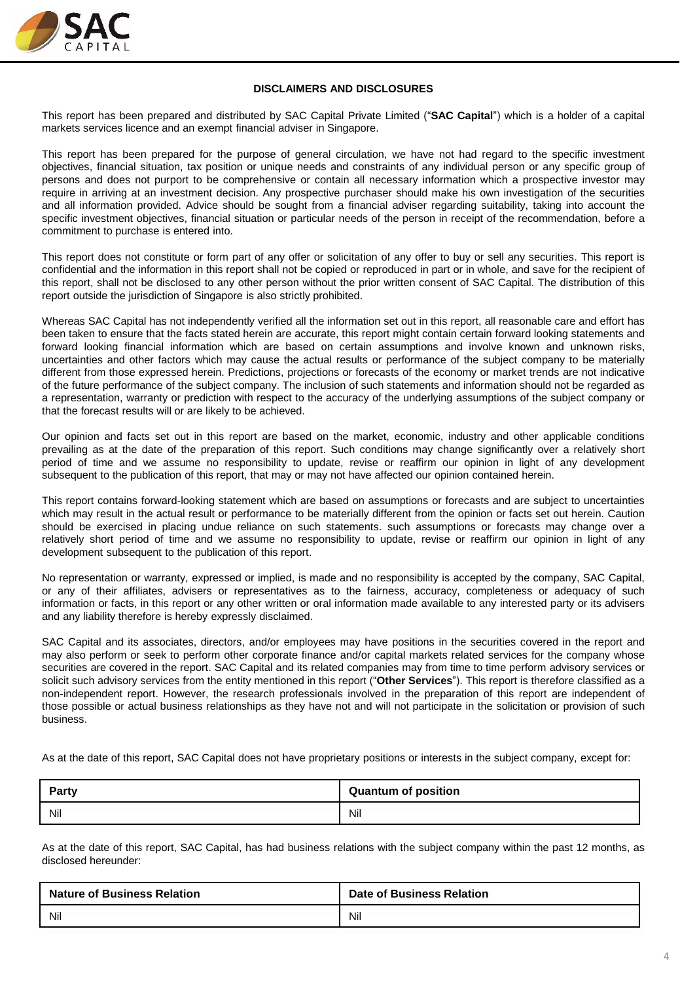

#### **DISCLAIMERS AND DISCLOSURES**

This report has been prepared and distributed by SAC Capital Private Limited ("**SAC Capital**") which is a holder of a capital markets services licence and an exempt financial adviser in Singapore.

This report has been prepared for the purpose of general circulation, we have not had regard to the specific investment objectives, financial situation, tax position or unique needs and constraints of any individual person or any specific group of persons and does not purport to be comprehensive or contain all necessary information which a prospective investor may require in arriving at an investment decision. Any prospective purchaser should make his own investigation of the securities and all information provided. Advice should be sought from a financial adviser regarding suitability, taking into account the specific investment objectives, financial situation or particular needs of the person in receipt of the recommendation, before a commitment to purchase is entered into.

This report does not constitute or form part of any offer or solicitation of any offer to buy or sell any securities. This report is confidential and the information in this report shall not be copied or reproduced in part or in whole, and save for the recipient of this report, shall not be disclosed to any other person without the prior written consent of SAC Capital. The distribution of this report outside the jurisdiction of Singapore is also strictly prohibited.

Whereas SAC Capital has not independently verified all the information set out in this report, all reasonable care and effort has been taken to ensure that the facts stated herein are accurate, this report might contain certain forward looking statements and forward looking financial information which are based on certain assumptions and involve known and unknown risks, uncertainties and other factors which may cause the actual results or performance of the subject company to be materially different from those expressed herein. Predictions, projections or forecasts of the economy or market trends are not indicative of the future performance of the subject company. The inclusion of such statements and information should not be regarded as a representation, warranty or prediction with respect to the accuracy of the underlying assumptions of the subject company or that the forecast results will or are likely to be achieved.

Our opinion and facts set out in this report are based on the market, economic, industry and other applicable conditions prevailing as at the date of the preparation of this report. Such conditions may change significantly over a relatively short period of time and we assume no responsibility to update, revise or reaffirm our opinion in light of any development subsequent to the publication of this report, that may or may not have affected our opinion contained herein.

This report contains forward-looking statement which are based on assumptions or forecasts and are subject to uncertainties which may result in the actual result or performance to be materially different from the opinion or facts set out herein. Caution should be exercised in placing undue reliance on such statements. such assumptions or forecasts may change over a relatively short period of time and we assume no responsibility to update, revise or reaffirm our opinion in light of any development subsequent to the publication of this report.

No representation or warranty, expressed or implied, is made and no responsibility is accepted by the company, SAC Capital, or any of their affiliates, advisers or representatives as to the fairness, accuracy, completeness or adequacy of such information or facts, in this report or any other written or oral information made available to any interested party or its advisers and any liability therefore is hereby expressly disclaimed.

SAC Capital and its associates, directors, and/or employees may have positions in the securities covered in the report and may also perform or seek to perform other corporate finance and/or capital markets related services for the company whose securities are covered in the report. SAC Capital and its related companies may from time to time perform advisory services or solicit such advisory services from the entity mentioned in this report ("**Other Services**"). This report is therefore classified as a non-independent report. However, the research professionals involved in the preparation of this report are independent of those possible or actual business relationships as they have not and will not participate in the solicitation or provision of such business.

As at the date of this report, SAC Capital does not have proprietary positions or interests in the subject company, except for:

| <b>Party</b> | <b>Quantum of position</b> |
|--------------|----------------------------|
| Nil          | Nil                        |

As at the date of this report, SAC Capital, has had business relations with the subject company within the past 12 months, as disclosed hereunder:

| <b>Nature of Business Relation</b> | <b>Date of Business Relation</b> |
|------------------------------------|----------------------------------|
| Nil                                | Nil                              |